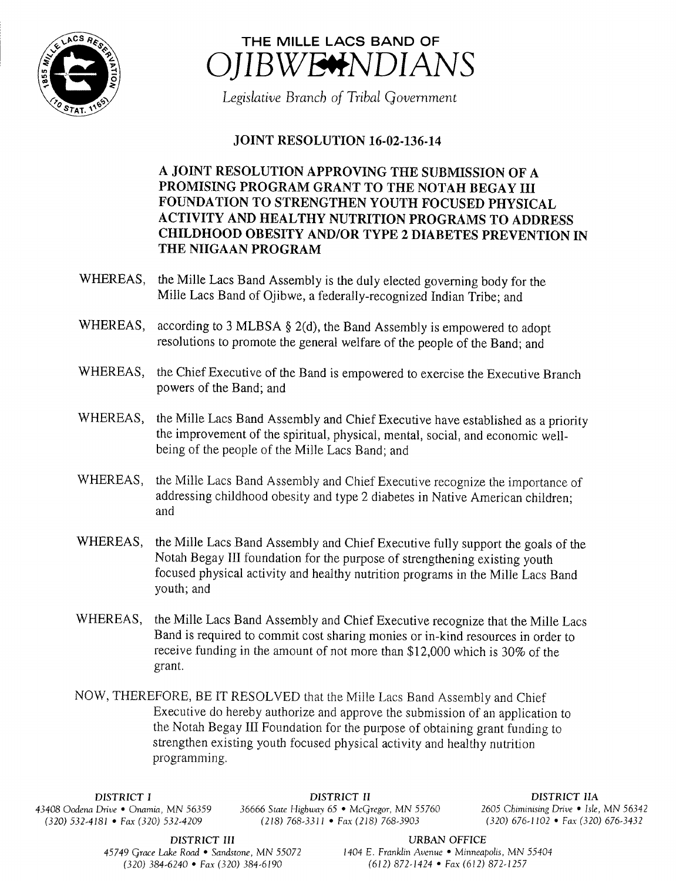



Legislative Branch of Tribal Government

## **JOINT RESOLUTION 16-02-136-14**

A JOINT RESOLUTION APPROVING THE SUBMISSION OF A PROMISING PROGRAM GRANT TO THE NOTAH BEGAY III FOUNDATION TO STRENGTHEN YOUTH FOCUSED PHYSICAL ACTIVITY AND HEALTHY NUTRITION PROGRAMS TO ADDRESS CHILDHOOD OBESITY AND/OR TYPE 2 DIABETES PREVENTION IN THE NIIGAAN PROGRAM

- WHEREAS, the Mille Lacs Band Assembly is the duly elected governing body for the Mille Lacs Band of Ojibwe, a federally-recognized Indian Tribe; and
- WHEREAS, according to 3 MLBSA  $\S$  2(d), the Band Assembly is empowered to adopt resolutions to promote the general welfare of the people of the Band; and
- WHEREAS, the Chief Executive of the Band is empowered to exercise the Executive Branch powers of the Band; and
- WHEREAS, the Mille Lacs Band Assembly and Chief Executive have established as <sup>a</sup> priority the improvement of the spiritual, physical, mental, social, and economic wellbeing of the people of the Mille Lacs Band; and
- WHEREAS, the Mille Lacs Band Assembly and Chief Executive recognize the importance of addressing childhood obesity and type 2 diabetes in Native American children; and
- WHEREAS, the Mille Lacs Band Assembly and Chief Executive fully support the goals of the Notah Begay III foundation for the purpose of strengthening existing youth focused physical activity and healthy nutrition programs in the Mille Lacs Band youth; and
- WHEREAS, the Mille Lacs Band Assembly and Chief Executive recognize that the Mille Lacs Band is required to commit cost sharing monies or in-kind resources in order to receive funding in the amount of not more than \$12,000 which is 30% of the grant.

NOW, THEREFORE, BE IT RESOLVED that the Mille Lacs Band Assembly and Chief Executive do hereby authorize and approve the submission of an application to the Notah Begay III Foundation for the purpose of obtaining grant funding to strengthen existing youth focused physical activity and healthy nutrition programming.

 $(320) 532-4181$  • Fax(320) 532-4209

DISTRICT I **DISTRICT II**<br>Drive • Onamia, MN 56359 36666 State Highway 65 • McGregor, MN 55760 2605 Chiminising Drive • Isle, MN 56342 43408 Oodena Drive • Onamia, MN 56359 36666 State Highway 65 • McGregor, MN 55760 2605 Chiminising Drive • Isle, MN 5634.<br>(320) 532-4181 • Fax (320) 532-4209 (218) 768-3311 • Fax (218) 768-3903 (320) 676-1102 • Fax (320) 6

DISTRICT III URBAN OFFICE

45749 Grace Lake Road • Sandstone, MN 55072 1404 E. Franklin Avenue • Minneapolis, MN 55404 320) 384- 6240 • Fax( 320) 384- 6190 612) 872- 1424 • Fax( 612) 872- 1257